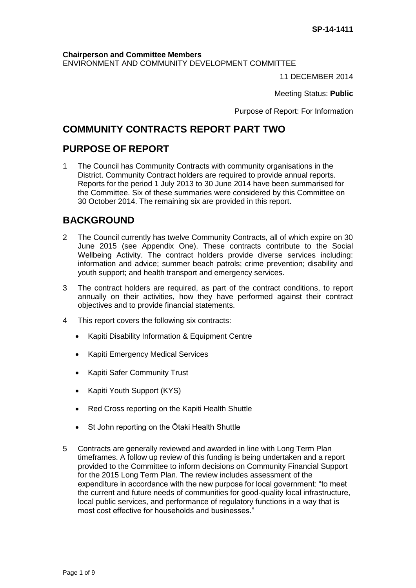### **Chairperson and Committee Members**

ENVIRONMENT AND COMMUNITY DEVELOPMENT COMMITTEE

11 DECEMBER 2014

Meeting Status: **Public**

Purpose of Report: For Information

## **COMMUNITY CONTRACTS REPORT PART TWO**

## **PURPOSE OF REPORT**

1 The Council has Community Contracts with community organisations in the District. Community Contract holders are required to provide annual reports. Reports for the period 1 July 2013 to 30 June 2014 have been summarised for the Committee. Six of these summaries were considered by this Committee on 30 October 2014. The remaining six are provided in this report.

# **BACKGROUND**

- 2 The Council currently has twelve Community Contracts, all of which expire on 30 June 2015 (see Appendix One). These contracts contribute to the Social Wellbeing Activity. The contract holders provide diverse services including: information and advice; summer beach patrols; crime prevention; disability and youth support; and health transport and emergency services.
- 3 The contract holders are required, as part of the contract conditions, to report annually on their activities, how they have performed against their contract objectives and to provide financial statements.
- 4 This report covers the following six contracts:
	- Kapiti Disability Information & Equipment Centre
	- Kapiti Emergency Medical Services
	- Kapiti Safer Community Trust
	- Kapiti Youth Support (KYS)
	- Red Cross reporting on the Kapiti Health Shuttle
	- St John reporting on the Otaki Health Shuttle
- 5 Contracts are generally reviewed and awarded in line with Long Term Plan timeframes. A follow up review of this funding is being undertaken and a report provided to the Committee to inform decisions on Community Financial Support for the 2015 Long Term Plan. The review includes assessment of the expenditure in accordance with the new purpose for local government: "to meet the current and future needs of communities for good-quality local infrastructure, local public services, and performance of regulatory functions in a way that is most cost effective for households and businesses."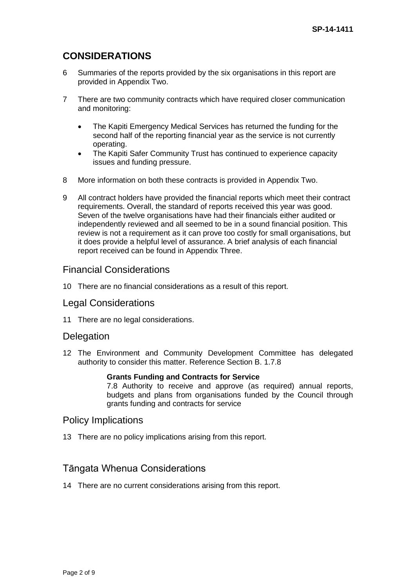# **CONSIDERATIONS**

- 6 Summaries of the reports provided by the six organisations in this report are provided in Appendix Two.
- 7 There are two community contracts which have required closer communication and monitoring:
	- The Kapiti Emergency Medical Services has returned the funding for the second half of the reporting financial year as the service is not currently operating.
	- The Kapiti Safer Community Trust has continued to experience capacity issues and funding pressure.
- 8 More information on both these contracts is provided in Appendix Two.
- 9 All contract holders have provided the financial reports which meet their contract requirements. Overall, the standard of reports received this year was good. Seven of the twelve organisations have had their financials either audited or independently reviewed and all seemed to be in a sound financial position. This review is not a requirement as it can prove too costly for small organisations, but it does provide a helpful level of assurance. A brief analysis of each financial report received can be found in Appendix Three.

## Financial Considerations

10 There are no financial considerations as a result of this report.

### Legal Considerations

11 There are no legal considerations.

### **Delegation**

12 The Environment and Community Development Committee has delegated authority to consider this matter. Reference Section B. 1.7.8

### **Grants Funding and Contracts for Service**

7.8 Authority to receive and approve (as required) annual reports, budgets and plans from organisations funded by the Council through grants funding and contracts for service

### Policy Implications

13 There are no policy implications arising from this report.

## Tāngata Whenua Considerations

14 There are no current considerations arising from this report.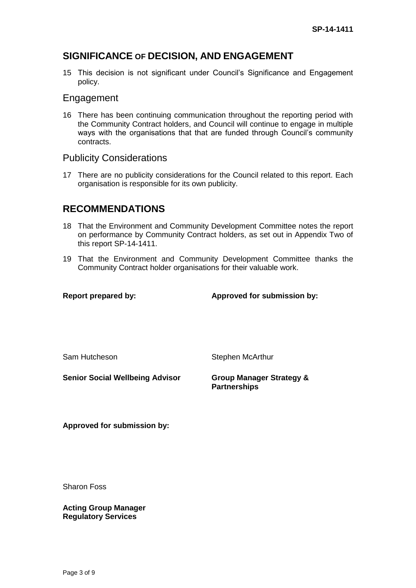## **SIGNIFICANCE OF DECISION, AND ENGAGEMENT**

15 This decision is not significant under Council's Significance and Engagement policy.

### Engagement

16 There has been continuing communication throughout the reporting period with the Community Contract holders, and Council will continue to engage in multiple ways with the organisations that that are funded through Council's community contracts.

### Publicity Considerations

17 There are no publicity considerations for the Council related to this report. Each organisation is responsible for its own publicity.

## **RECOMMENDATIONS**

- 18 That the Environment and Community Development Committee notes the report on performance by Community Contract holders, as set out in Appendix Two of this report SP-14-1411.
- 19 That the Environment and Community Development Committee thanks the Community Contract holder organisations for their valuable work.

**Report prepared by: Approved for submission by:**

Sam Hutcheson Stephen McArthur

**Senior Social Wellbeing Advisor Group Manager Strategy &** 

**Partnerships**

**Approved for submission by:**

Sharon Foss

**Acting Group Manager Regulatory Services**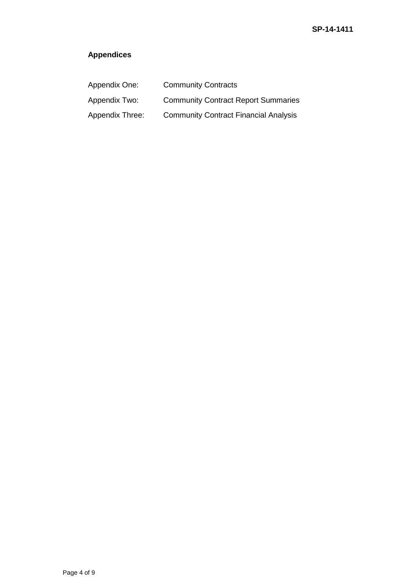# **Appendices**

| Appendix One:   | <b>Community Contracts</b>                   |
|-----------------|----------------------------------------------|
| Appendix Two:   | <b>Community Contract Report Summaries</b>   |
| Appendix Three: | <b>Community Contract Financial Analysis</b> |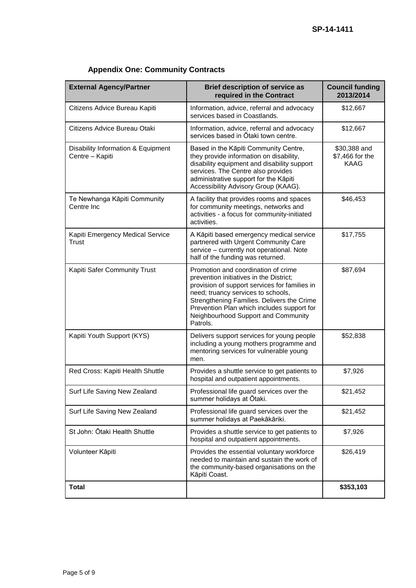| <b>External Agency/Partner</b>                        | <b>Brief description of service as</b><br>required in the Contract                                                                                                                                                                                                                                                   | <b>Council funding</b><br>2013/2014            |
|-------------------------------------------------------|----------------------------------------------------------------------------------------------------------------------------------------------------------------------------------------------------------------------------------------------------------------------------------------------------------------------|------------------------------------------------|
| Citizens Advice Bureau Kapiti                         | Information, advice, referral and advocacy<br>services based in Coastlands.                                                                                                                                                                                                                                          | \$12,667                                       |
| Citizens Advice Bureau Otaki                          | Information, advice, referral and advocacy<br>services based in Otaki town centre.                                                                                                                                                                                                                                   | \$12,667                                       |
| Disability Information & Equipment<br>Centre - Kapiti | Based in the Kāpiti Community Centre,<br>they provide information on disability,<br>disability equipment and disability support<br>services. The Centre also provides<br>administrative support for the Kāpiti<br>Accessibility Advisory Group (KAAG).                                                               | \$30,388 and<br>\$7,466 for the<br><b>KAAG</b> |
| Te Newhanga Kāpiti Community<br>Centre Inc.           | A facility that provides rooms and spaces<br>for community meetings, networks and<br>activities - a focus for community-initiated<br>activities.                                                                                                                                                                     | \$46,453                                       |
| Kapiti Emergency Medical Service<br><b>Trust</b>      | A Kāpiti based emergency medical service<br>partnered with Urgent Community Care<br>service - currently not operational. Note<br>half of the funding was returned.                                                                                                                                                   | \$17,755                                       |
| Kapiti Safer Community Trust                          | Promotion and coordination of crime<br>prevention initiatives in the District;<br>provision of support services for families in<br>need; truancy services to schools,<br>Strengthening Families. Delivers the Crime<br>Prevention Plan which includes support for<br>Neighbourhood Support and Community<br>Patrols. | \$87,694                                       |
| Kapiti Youth Support (KYS)                            | Delivers support services for young people<br>including a young mothers programme and<br>mentoring services for vulnerable young<br>men.                                                                                                                                                                             | \$52,838                                       |
| Red Cross: Kapiti Health Shuttle                      | Provides a shuttle service to get patients to<br>hospital and outpatient appointments.                                                                                                                                                                                                                               | \$7,926                                        |
| Surf Life Saving New Zealand                          | Professional life guard services over the<br>summer holidays at Ōtaki.                                                                                                                                                                                                                                               | \$21.452                                       |
| Surf Life Saving New Zealand                          | Professional life guard services over the<br>summer holidays at Paekākāriki.                                                                                                                                                                                                                                         | \$21,452                                       |
| St John: Ōtaki Health Shuttle                         | Provides a shuttle service to get patients to<br>hospital and outpatient appointments.                                                                                                                                                                                                                               | \$7,926                                        |
| Volunteer Kāpiti                                      | Provides the essential voluntary workforce<br>needed to maintain and sustain the work of<br>the community-based organisations on the<br>Kāpiti Coast.                                                                                                                                                                | \$26,419                                       |
| <b>Total</b>                                          |                                                                                                                                                                                                                                                                                                                      | \$353,103                                      |

# **Appendix One: Community Contracts**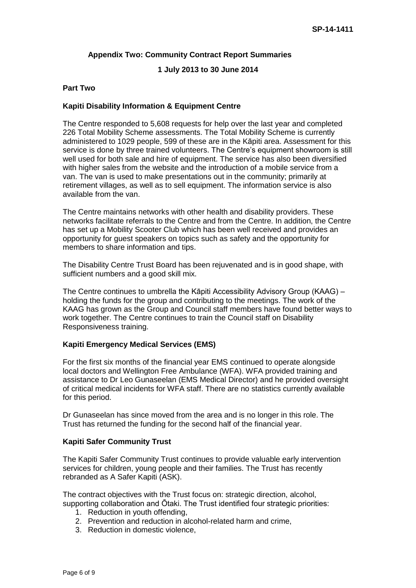### **Appendix Two: Community Contract Report Summaries**

### **1 July 2013 to 30 June 2014**

### **Part Two**

### **Kapiti Disability Information & Equipment Centre**

The Centre responded to 5,608 requests for help over the last year and completed 226 Total Mobility Scheme assessments. The Total Mobility Scheme is currently administered to 1029 people, 599 of these are in the Kāpiti area. Assessment for this service is done by three trained volunteers. The Centre's equipment showroom is still well used for both sale and hire of equipment. The service has also been diversified with higher sales from the website and the introduction of a mobile service from a van. The van is used to make presentations out in the community; primarily at retirement villages, as well as to sell equipment. The information service is also available from the van.

The Centre maintains networks with other health and disability providers. These networks facilitate referrals to the Centre and from the Centre. In addition, the Centre has set up a Mobility Scooter Club which has been well received and provides an opportunity for guest speakers on topics such as safety and the opportunity for members to share information and tips.

The Disability Centre Trust Board has been rejuvenated and is in good shape, with sufficient numbers and a good skill mix.

The Centre continues to umbrella the Kāpiti Accessibility Advisory Group (KAAG) – holding the funds for the group and contributing to the meetings. The work of the KAAG has grown as the Group and Council staff members have found better ways to work together. The Centre continues to train the Council staff on Disability Responsiveness training.

### **Kapiti Emergency Medical Services (EMS)**

For the first six months of the financial year EMS continued to operate alongside local doctors and Wellington Free Ambulance (WFA). WFA provided training and assistance to Dr Leo Gunaseelan (EMS Medical Director) and he provided oversight of critical medical incidents for WFA staff. There are no statistics currently available for this period.

Dr Gunaseelan has since moved from the area and is no longer in this role. The Trust has returned the funding for the second half of the financial year.

### **Kapiti Safer Community Trust**

The Kapiti Safer Community Trust continues to provide valuable early intervention services for children, young people and their families. The Trust has recently rebranded as A Safer Kapiti (ASK).

The contract objectives with the Trust focus on: strategic direction, alcohol, supporting collaboration and Ōtaki. The Trust identified four strategic priorities:

- 1. Reduction in youth offending,
- 2. Prevention and reduction in alcohol-related harm and crime,
- 3. Reduction in domestic violence,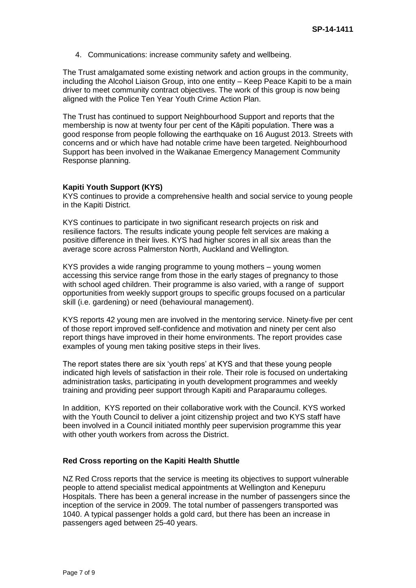4. Communications: increase community safety and wellbeing.

The Trust amalgamated some existing network and action groups in the community, including the Alcohol Liaison Group, into one entity – Keep Peace Kapiti to be a main driver to meet community contract objectives. The work of this group is now being aligned with the Police Ten Year Youth Crime Action Plan.

The Trust has continued to support Neighbourhood Support and reports that the membership is now at twenty four per cent of the Kāpiti population. There was a good response from people following the earthquake on 16 August 2013. Streets with concerns and or which have had notable crime have been targeted. Neighbourhood Support has been involved in the Waikanae Emergency Management Community Response planning.

### **Kapiti Youth Support (KYS)**

KYS continues to provide a comprehensive health and social service to young people in the Kapiti District.

KYS continues to participate in two significant research projects on risk and resilience factors. The results indicate young people felt services are making a positive difference in their lives. KYS had higher scores in all six areas than the average score across Palmerston North, Auckland and Wellington.

KYS provides a wide ranging programme to young mothers – young women accessing this service range from those in the early stages of pregnancy to those with school aged children. Their programme is also varied, with a range of support opportunities from weekly support groups to specific groups focused on a particular skill (i.e. gardening) or need (behavioural management).

KYS reports 42 young men are involved in the mentoring service. Ninety-five per cent of those report improved self-confidence and motivation and ninety per cent also report things have improved in their home environments. The report provides case examples of young men taking positive steps in their lives.

The report states there are six 'youth reps' at KYS and that these young people indicated high levels of satisfaction in their role. Their role is focused on undertaking administration tasks, participating in youth development programmes and weekly training and providing peer support through Kapiti and Paraparaumu colleges.

In addition, KYS reported on their collaborative work with the Council. KYS worked with the Youth Council to deliver a joint citizenship project and two KYS staff have been involved in a Council initiated monthly peer supervision programme this year with other youth workers from across the District.

### **Red Cross reporting on the Kapiti Health Shuttle**

NZ Red Cross reports that the service is meeting its objectives to support vulnerable people to attend specialist medical appointments at Wellington and Kenepuru Hospitals. There has been a general increase in the number of passengers since the inception of the service in 2009. The total number of passengers transported was 1040. A typical passenger holds a gold card, but there has been an increase in passengers aged between 25-40 years.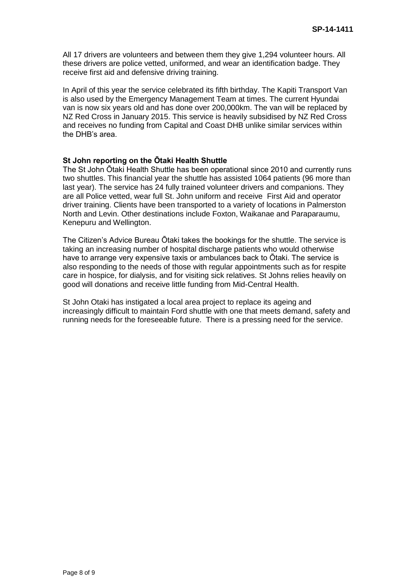All 17 drivers are volunteers and between them they give 1,294 volunteer hours. All these drivers are police vetted, uniformed, and wear an identification badge. They receive first aid and defensive driving training.

In April of this year the service celebrated its fifth birthday. The Kapiti Transport Van is also used by the Emergency Management Team at times. The current Hyundai van is now six years old and has done over 200,000km. The van will be replaced by NZ Red Cross in January 2015. This service is heavily subsidised by NZ Red Cross and receives no funding from Capital and Coast DHB unlike similar services within the DHB's area.

### **St John reporting on the Ōtaki Health Shuttle**

The St John Ōtaki Health Shuttle has been operational since 2010 and currently runs two shuttles. This financial year the shuttle has assisted 1064 patients (96 more than last year). The service has 24 fully trained volunteer drivers and companions. They are all Police vetted, wear full St. John uniform and receive First Aid and operator driver training. Clients have been transported to a variety of locations in Palmerston North and Levin. Other destinations include Foxton, Waikanae and Paraparaumu, Kenepuru and Wellington.

The Citizen's Advice Bureau Ōtaki takes the bookings for the shuttle. The service is taking an increasing number of hospital discharge patients who would otherwise have to arrange very expensive taxis or ambulances back to Ōtaki. The service is also responding to the needs of those with regular appointments such as for respite care in hospice, for dialysis, and for visiting sick relatives. St Johns relies heavily on good will donations and receive little funding from Mid-Central Health.

St John Otaki has instigated a local area project to replace its ageing and increasingly difficult to maintain Ford shuttle with one that meets demand, safety and running needs for the foreseeable future. There is a pressing need for the service.